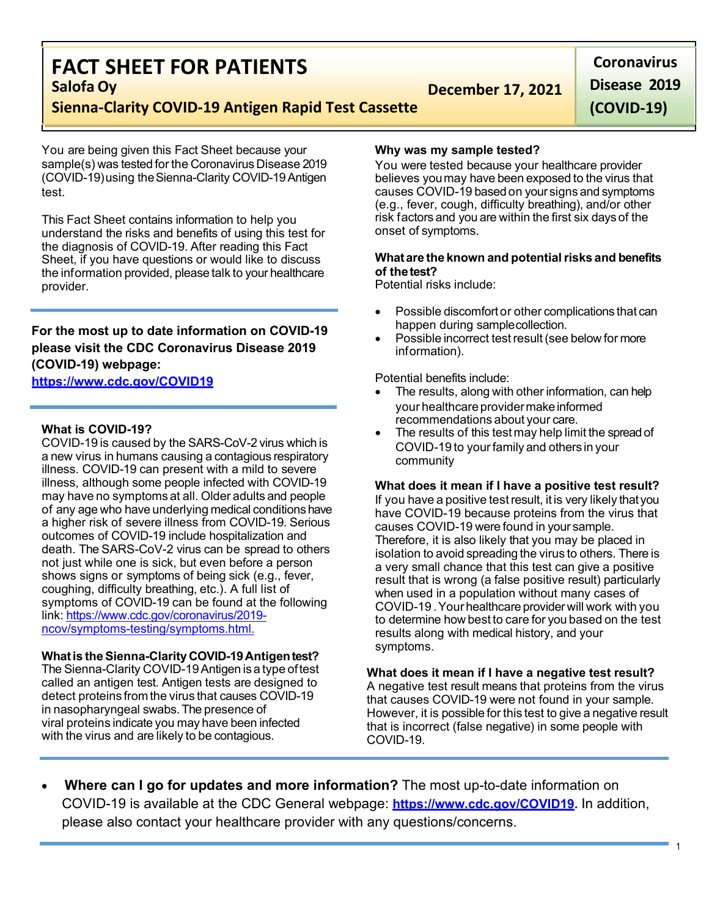# **FACT SHEET FOR PATIENTS**

**December 17, 2021** 

**Coronavirus Disease 2019 (COVID-19)**

# **Sienna-Clarity COVID-19 Antigen Rapid Test Cassette**

You are being given this Fact Sheet because your sample(s) was tested for the Coronavirus Disease 2019 (COVID-19)using theSienna-Clarity COVID-19Antigen test.

This Fact Sheet contains information to help you understand the risks and benefits of using this test for the diagnosis of COVID-19. After reading this Fact Sheet, if you have questions or would like to discuss the information provided, please talk to your healthcare provider.

# **For the most up to date information on COVID-19 please visit the CDC Coronavirus Disease 2019 (COVID-19) webpage:**

## **[https://www.cdc.gov/COVID19](https://www.cdc.gov/nCoV)**

## **What is COVID-19?**

COVID-19 is caused by the SARS-CoV-2 virus which is a new virus in humans causing a contagious respiratory illness. COVID-19 can present with a mild to severe illness, although some people infected with COVID-19 may have no symptoms at all. Older adults and people of any age who have underlying medical conditionshave a higher risk of severe illness from COVID-19. Serious outcomes of COVID-19 include hospitalization and death. The SARS-CoV-2 virus can be spread to others not just while one is sick, but even before a person shows signs or symptoms of being sick (e.g., fever, coughing, difficulty breathing, etc.). A full list of symptoms of COVID-19 can be found at the following link: [https://www.cdc.gov/coronavirus/2019](https://www.cdc.gov/coronavirus/2019-ncov/symptoms-testing/symptoms.html) [ncov/symptoms-testing/symptoms.html.](https://www.cdc.gov/coronavirus/2019-ncov/symptoms-testing/symptoms.html)

## **Whatis theSienna-Clarity COVID-19Antigentest?**

The Sienna-Clarity COVID-19Antigen isa type oftest called an antigen test. Antigen tests are designed to detect proteins from the virus that causes COVID-19 in nasopharyngeal swabs. The presence of viral proteins indicate you may have been infected with the virus and are likely to be contagious.

#### **Why was my sample tested?**

You were tested because your healthcare provider believes youmay have been exposed to the virus that causes COVID-19 based on your signs and symptoms (e.g., fever, cough, difficulty breathing), and/or other risk factors and you are within the first six days of the onset of symptoms.

#### **Whatare the known and potentialrisks and benefits of the test?**

Potential risks include:

- Possible discomfort or other complications that can happen during samplecollection.
- Possible incorrect test result (see below for more information).

Potential benefits include:

- The results, along with other information, can help your healthcare provider make informed recommendations about your care.
- The results of this test may help limit the spread of COVID-19 to yourfamily and others in your community

#### **What does it mean if I have a positive test result?**

If you have a positive testresult, it is very likely that you have COVID-19 because proteins from the virus that causes COVID-19 were found in your sample. Therefore, it is also likely that you may be placed in isolation to avoid spreading the virus to others. There is a very small chance that this test can give a positive result that is wrong (a false positive result) particularly when used in a population without many cases of COVID-19 .Your healthcare providerwill work with you to determine how best to care for you based on the test results along with medical history, and your symptoms.

**What does it mean if I have a negative test result?** A negative test result means that proteins from the virus that causes COVID-19 were not found in your sample. However, it is possible for this test to give a negative result that is incorrect (false negative) in some people with COVID-19.

• **Where can I go for updates and more information?** The most up-to-date information on COVID-19 is available at the CDC General webpage: **[https://www.cdc.gov/COVID19.](https://www.cdc.gov/nCoV)** In addition, please also contact your healthcare provider with any questions/concerns.